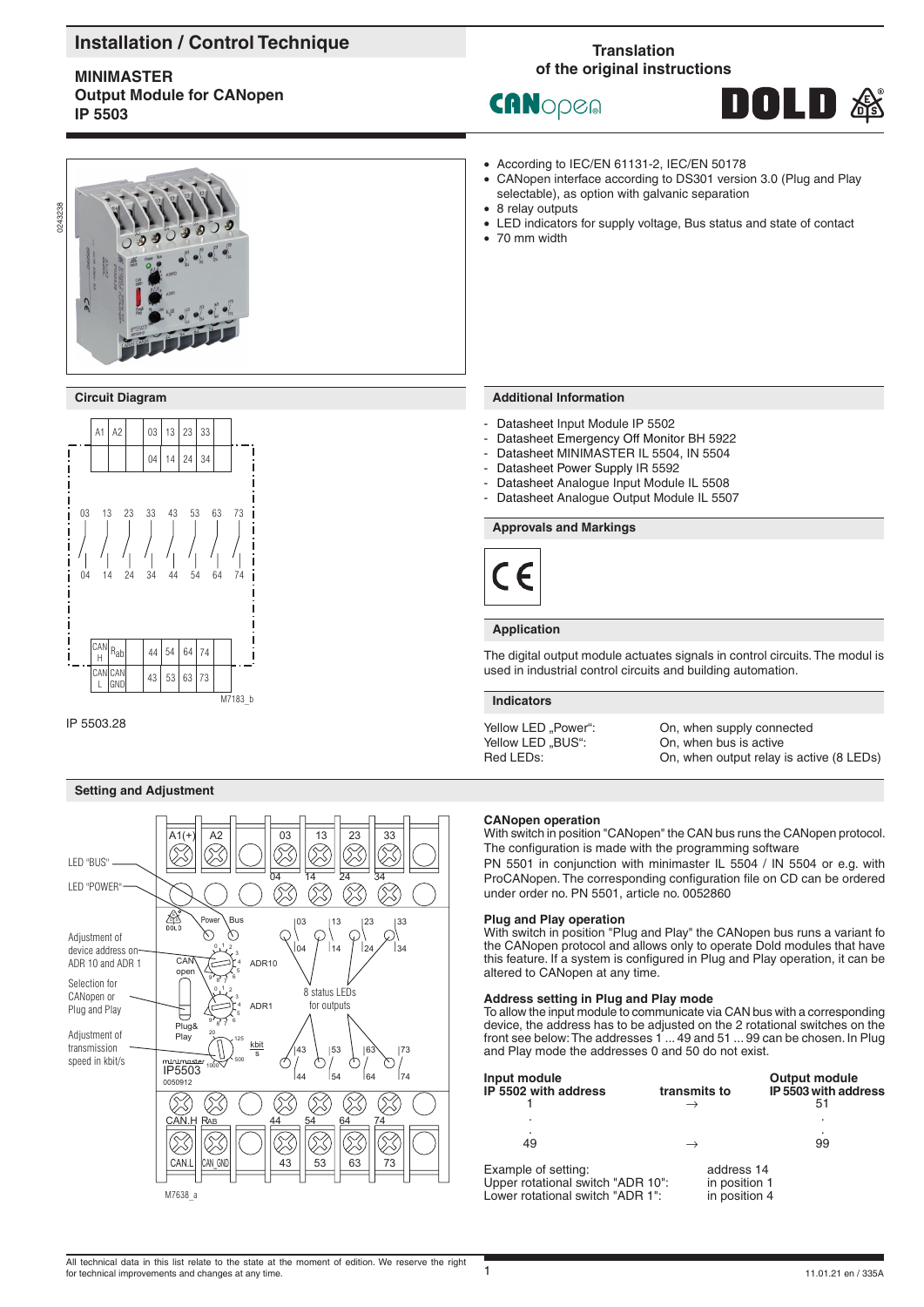# **Installation / Control Technique**

# **MINIMASTER Output Module for CANopen IP 5503**

# **Translation of the original instructions**

• According to IEC/EN 61131-2, IEC/EN 50178

selectable), as option with galvanic separation

• CANopen interface according to DS301 version 3.0 (Plug and Play

• LED indicators for supply voltage, Bus status and state of contact

CANopen

8 relay outputs

• 70 mm width





# **Circuit Diagram**



IP 5503.28

# **Setting and Adjustment**



### **Additional Information**

- Datasheet Input Module IP 5502
- Datasheet Emergency Off Monitor BH 5922
- Datasheet MINIMASTER IL 5504, IN 5504
- Datasheet Power Supply IR 5592
- Datasheet Analogue Input Module IL 5508
- Datasheet Analogue Output Module IL 5507

# **Approvals and Markings**



### **Application**

The digital output module actuates signals in control circuits. The modul is used in industrial control circuits and building automation.

#### **Indicators**

Yellow LED "BUS": On, when bus is active<br>
Red LEDs: On, when output relay

Yellow LED "Power": Con, when supply connected<br>
Yellow LED "BUS": Con, when bus is active On, when output relay is active (8 LEDs)

#### **CANopen operation**

With switch in position "CANopen" the CAN bus runs the CANopen protocol. The configuration is made with the programming software

PN 5501 in conjunction with minimaster IL 5504 / IN 5504 or e.g. with ProCANopen. The corresponding configuration file on CD can be ordered under order no. PN 5501, article no. 0052860

### **Plug and Play operation**

With switch in position "Plug and Play" the CANopen bus runs a variant fo the CANopen protocol and allows only to operate Dold modules that have this feature. If a system is configured in Plug and Play operation, it can be altered to CANopen at any time.

#### **Address setting in Plug and Play mode**

To allow the input module to communicate via CAN bus with a corresponding device, the address has to be adjusted on the 2 rotational switches on the front see below: The addresses 1 ... 49 and 51 ... 99 can be chosen. In Plug and Play mode the addresses 0 and 50 do not exist.

| Input module<br>IP 5502 with address                                                          | transmits to<br>$\rightarrow$                | <b>Output module</b><br>IP 5503 with address<br>51 |
|-----------------------------------------------------------------------------------------------|----------------------------------------------|----------------------------------------------------|
|                                                                                               |                                              |                                                    |
| 49                                                                                            | $\rightarrow$                                | 99                                                 |
| Example of setting:<br>Upper rotational switch "ADR 10":<br>I ower rotational switch "ADR 1": | address 14<br>in position 1<br>in position 4 |                                                    |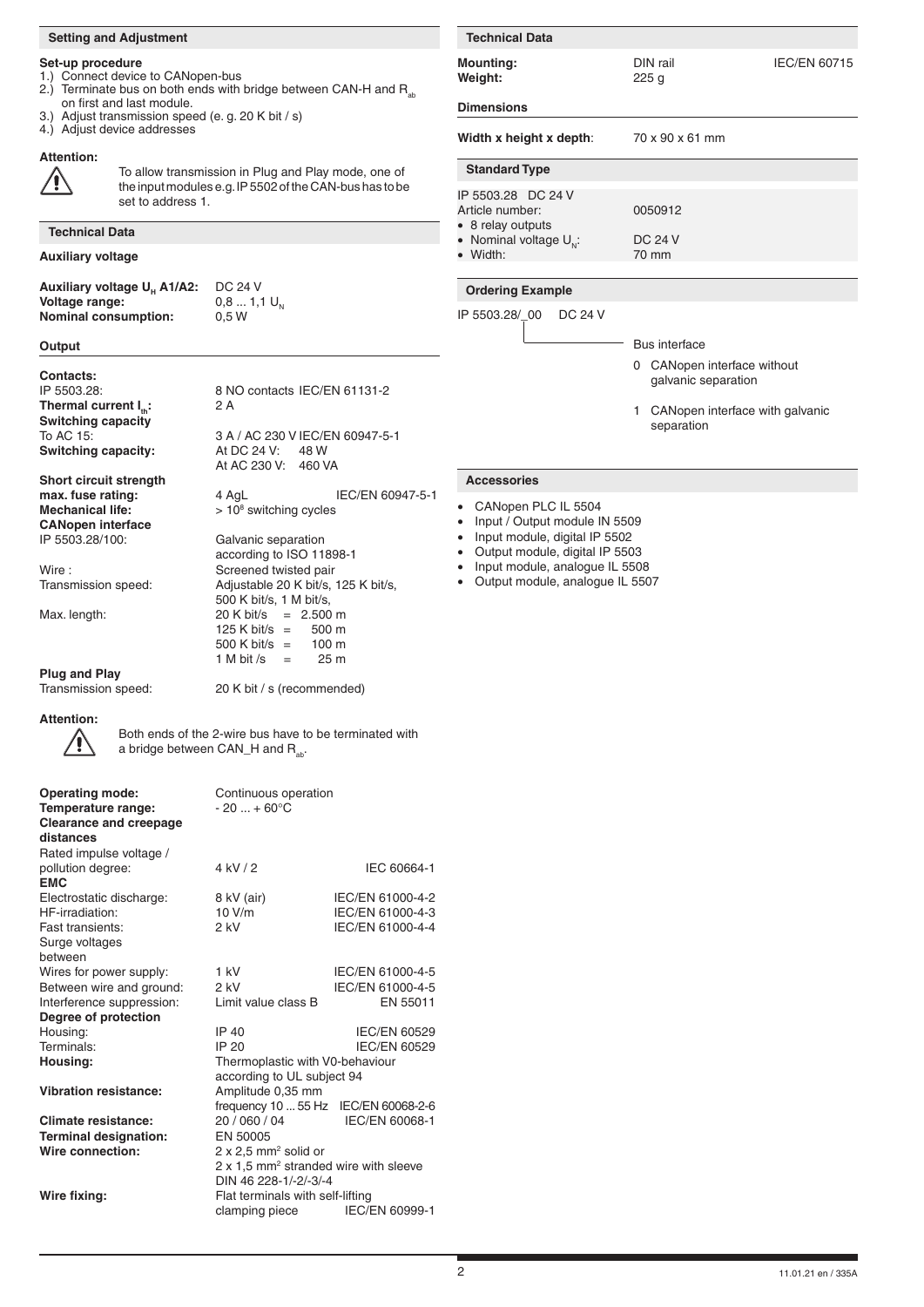### **Setting and Adjustment**

#### **Set-up procedure**

- 1.) Connect device to CANopen-bus
- 2.) Terminate bus on both ends with bridge between CAN-H and  $R_{ab}$ on first and last module.
- 3.) Adjust transmission speed (e. g. 20 K bit / s)
- 4.) Adjust device addresses

## **Attention:**



To allow transmission in Plug and Play mode, one of the input modules e.g. IP 5502 of the CAN-bus has to b set to address 1.

**Technical Data Auxiliary voltage**

**Auxiliary voltage**  $U_H$  **A1/A2:** DC 24 V<br>**Voltage range:** 0,8 ... 1,1  $U_N$ **Voltage range:**  $0,8...$ <br> **Nominal consumption:** 0.5 W **Nominal consumption:** 

 $20 K \text{ bit/s} = 2.500 \text{ m}$ <br>125 K bit/s = 500 m 125 K bit/s  $=$ 

 $500 \text{ K} \text{ bit/s} = 100 \text{ m}$ <br>1 M bit /s = 25 m 1 M bit /s  $=$ 

20 K bit / s (recommended)

### **Output**

**Contacts:**<br>IP 5503.28: **Thermal current I<sub>n</sub>: 2 A Switching capacity**<br>To AC 15: **Switching capacity:** 

**Short circuit strength max. fuse rating:**  $\overline{4}$  AgL IEC/EN 609 **Mechanical life: CANopen interface**

according to ISO 11898-1<br>Wire: Screened twisted pair Wire : <br>Transmission speed: Screened twisted pair<br>Adjustable 20 K bit/s,

500 K bit/s, 1 M bit/s,<br>Max. length: 20 K bit/s = 2.500

# **Plug and Play**<br>Transmission speed:

**Attention:**



Both ends of the 2-wire bus have to be terminated with<br>a bridge between CAN H and B a bridge between  $CAN_H$  and  $R_{ab}$ .

| <b>Operating mode:</b>        | Continuous operation                              |                     |  |
|-------------------------------|---------------------------------------------------|---------------------|--|
| Temperature range:            | $-20  + 60^{\circ}C$                              |                     |  |
| <b>Clearance and creepage</b> |                                                   |                     |  |
| distances                     |                                                   |                     |  |
| Rated impulse voltage /       |                                                   |                     |  |
| pollution degree:             | 4 kV/2                                            | IEC 60664-1         |  |
| <b>EMC</b>                    |                                                   |                     |  |
| Electrostatic discharge:      | 8 kV (air)                                        | IEC/EN 61000-4-2    |  |
| HF-irradiation:               | 10 V/m                                            | IEC/EN 61000-4-3    |  |
| Fast transients:              | 2 kV                                              | IEC/EN 61000-4-4    |  |
| Surge voltages                |                                                   |                     |  |
| hetween                       |                                                   |                     |  |
| Wires for power supply:       | $1$ kV                                            | IEC/EN 61000-4-5    |  |
| Between wire and ground:      | $2$ kV                                            | IEC/EN 61000-4-5    |  |
| Interference suppression:     | Limit value class B                               | EN 55011            |  |
| Degree of protection          |                                                   |                     |  |
| Housing:                      | IP 40                                             | IEC/EN 60529        |  |
| Terminals:                    | IP 20                                             | <b>IEC/EN 60529</b> |  |
| Housing:                      | Thermoplastic with V0-behaviour                   |                     |  |
|                               | according to UL subject 94                        |                     |  |
| <b>Vibration resistance:</b>  | Amplitude 0,35 mm                                 |                     |  |
|                               | frequency 10  55 Hz IEC/EN 60068-2-6              |                     |  |
| Climate resistance:           | 20 / 060 / 04                                     | IEC/EN 60068-1      |  |
| <b>Terminal designation:</b>  | EN 50005                                          |                     |  |
| Wire connection:              | $2 \times 2.5$ mm <sup>2</sup> solid or           |                     |  |
|                               | 2 x 1,5 mm <sup>2</sup> stranded wire with sleeve |                     |  |
|                               | DIN 46 228-1/-2/-3/-4                             |                     |  |
| Wire fixing:                  | Flat terminals with self-lifting                  |                     |  |
|                               | clamping piece                                    | IEC/EN 60999-1      |  |
|                               |                                                   |                     |  |

|                                                                                                                 | <b>Technical Data</b>                                                                                                                                                       |                                                     |  |
|-----------------------------------------------------------------------------------------------------------------|-----------------------------------------------------------------------------------------------------------------------------------------------------------------------------|-----------------------------------------------------|--|
| า-bus<br>with bridge between CAN-H and R <sub>ab</sub>                                                          | <b>Mounting:</b><br>Weight:                                                                                                                                                 | DIN rail<br><b>IEC/EN 60715</b><br>225 <sub>g</sub> |  |
| e. g. 20 K bit / s)                                                                                             | <b>Dimensions</b>                                                                                                                                                           |                                                     |  |
|                                                                                                                 | Width x height x depth:                                                                                                                                                     | 70 x 90 x 61 mm                                     |  |
| sion in Plug and Play mode, one of<br>e.g. IP 5502 of the CAN-bus has to be                                     | <b>Standard Type</b>                                                                                                                                                        |                                                     |  |
|                                                                                                                 | IP 5503.28 DC 24 V<br>Article number:<br>• 8 relay outputs                                                                                                                  | 0050912                                             |  |
|                                                                                                                 | • Nominal voltage $U_{N}$ :                                                                                                                                                 | <b>DC 24 V</b>                                      |  |
|                                                                                                                 | • Width:                                                                                                                                                                    | 70 mm                                               |  |
|                                                                                                                 |                                                                                                                                                                             |                                                     |  |
| <b>DC 24 V</b>                                                                                                  | <b>Ordering Example</b>                                                                                                                                                     |                                                     |  |
| $0,81,1$ U <sub>N</sub><br>0.5W                                                                                 | IP 5503.28/00<br>DC 24 V                                                                                                                                                    |                                                     |  |
|                                                                                                                 |                                                                                                                                                                             | Bus interface                                       |  |
| 8 NO contacts IEC/EN 61131-2<br>2A                                                                              |                                                                                                                                                                             | 0 CANopen interface without<br>galvanic separation  |  |
|                                                                                                                 |                                                                                                                                                                             | CANopen interface with galvanic<br>1.               |  |
| 3 A / AC 230 V IEC/EN 60947-5-1<br>At DC 24 V:<br>48 W<br>At AC 230 V:<br>460 VA                                |                                                                                                                                                                             | separation                                          |  |
|                                                                                                                 | <b>Accessories</b>                                                                                                                                                          |                                                     |  |
| IEC/EN 60947-5-1<br>4 AqL<br>$> 108$ switching cycles                                                           | CANopen PLC IL 5504<br>$\bullet$<br>Input / Output module IN 5509<br>$\bullet$                                                                                              |                                                     |  |
| Galvanic separation<br>according to ISO 11898-1<br>Screened twisted pair<br>Adjustable 20 K bit/s, 125 K bit/s, | Input module, digital IP 5502<br>$\bullet$<br>Output module, digital IP 5503<br>$\bullet$<br>Input module, analogue IL 5508<br>Output module, analogue IL 5507<br>$\bullet$ |                                                     |  |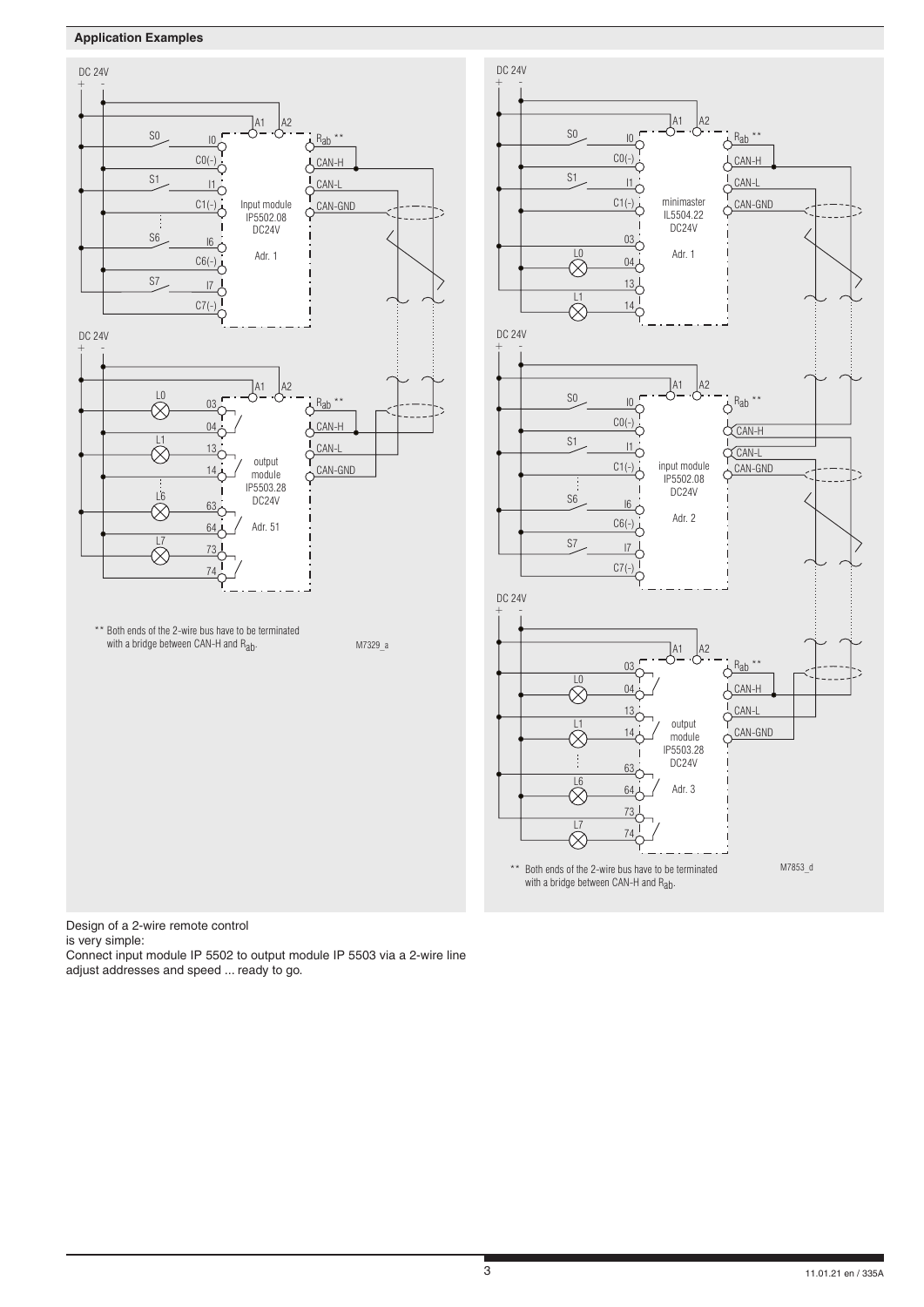# **Application Examples**





Design of a 2-wire remote control

is very simple:

Connect input module IP 5502 to output module IP 5503 via a 2-wire line adjust addresses and speed ... ready to go.